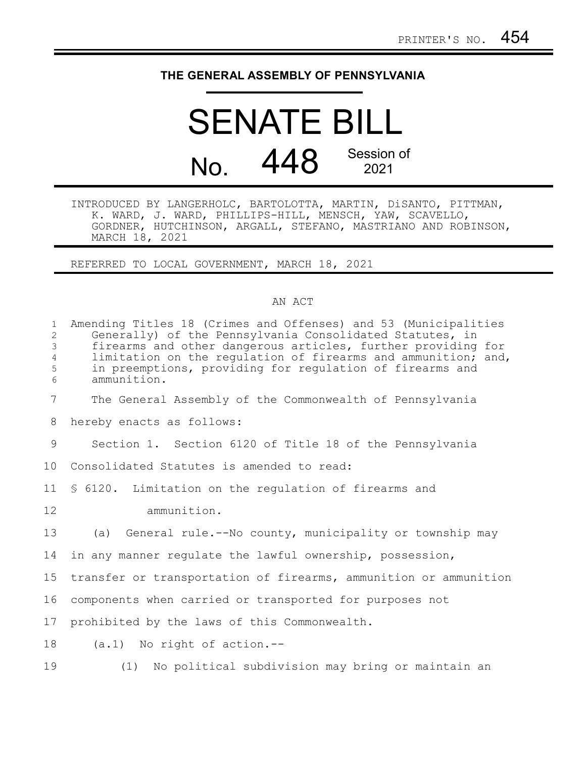## **THE GENERAL ASSEMBLY OF PENNSYLVANIA**

## SENATE BILL No. 448 Session of 2021

INTRODUCED BY LANGERHOLC, BARTOLOTTA, MARTIN, DiSANTO, PITTMAN, K. WARD, J. WARD, PHILLIPS-HILL, MENSCH, YAW, SCAVELLO, GORDNER, HUTCHINSON, ARGALL, STEFANO, MASTRIANO AND ROBINSON, MARCH 18, 2021

REFERRED TO LOCAL GOVERNMENT, MARCH 18, 2021

## AN ACT

| $\mathbf{1}$<br>$\overline{2}$<br>3<br>$\overline{4}$<br>5<br>6 | Amending Titles 18 (Crimes and Offenses) and 53 (Municipalities<br>Generally) of the Pennsylvania Consolidated Statutes, in<br>firearms and other dangerous articles, further providing for<br>limitation on the regulation of firearms and ammunition; and,<br>in preemptions, providing for regulation of firearms and<br>ammunition. |
|-----------------------------------------------------------------|-----------------------------------------------------------------------------------------------------------------------------------------------------------------------------------------------------------------------------------------------------------------------------------------------------------------------------------------|
| $\overline{7}$                                                  | The General Assembly of the Commonwealth of Pennsylvania                                                                                                                                                                                                                                                                                |
| 8                                                               | hereby enacts as follows:                                                                                                                                                                                                                                                                                                               |
| 9                                                               | Section 1. Section 6120 of Title 18 of the Pennsylvania                                                                                                                                                                                                                                                                                 |
| 10                                                              | Consolidated Statutes is amended to read:                                                                                                                                                                                                                                                                                               |
| 11                                                              | \$ 6120. Limitation on the regulation of firearms and                                                                                                                                                                                                                                                                                   |
| 12                                                              | ammunition.                                                                                                                                                                                                                                                                                                                             |
| 13                                                              | (a) General rule.--No county, municipality or township may                                                                                                                                                                                                                                                                              |
| 14                                                              | in any manner regulate the lawful ownership, possession,                                                                                                                                                                                                                                                                                |
| 15                                                              | transfer or transportation of firearms, ammunition or ammunition                                                                                                                                                                                                                                                                        |
| 16                                                              | components when carried or transported for purposes not                                                                                                                                                                                                                                                                                 |
| 17                                                              | prohibited by the laws of this Commonwealth.                                                                                                                                                                                                                                                                                            |
| 18                                                              | $(a.1)$ No right of action.--                                                                                                                                                                                                                                                                                                           |
| 19                                                              | (1) No political subdivision may bring or maintain an                                                                                                                                                                                                                                                                                   |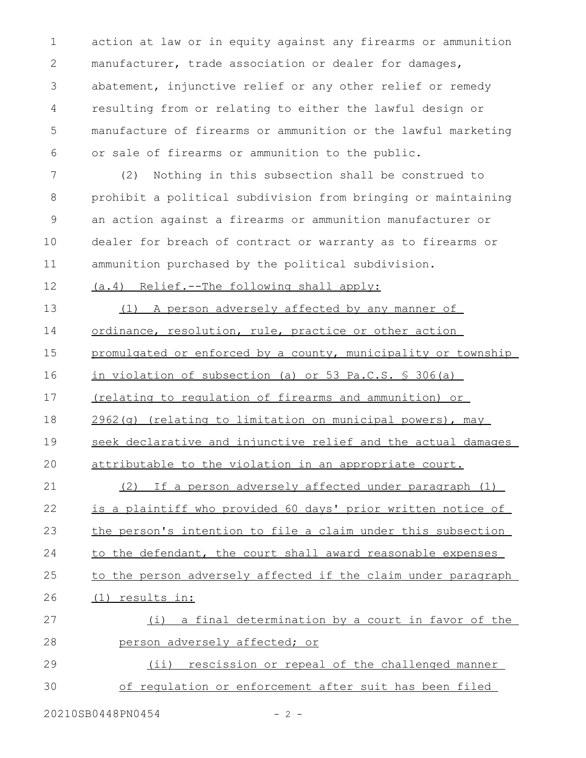action at law or in equity against any firearms or ammunition manufacturer, trade association or dealer for damages, abatement, injunctive relief or any other relief or remedy resulting from or relating to either the lawful design or manufacture of firearms or ammunition or the lawful marketing or sale of firearms or ammunition to the public. 1 2 3 4 5 6

(2) Nothing in this subsection shall be construed to prohibit a political subdivision from bringing or maintaining an action against a firearms or ammunition manufacturer or dealer for breach of contract or warranty as to firearms or ammunition purchased by the political subdivision. 7 8 9 10 11

(a.4) Relief.--The following shall apply: 12

(1) A person adversely affected by any manner of ordinance, resolution, rule, practice or other action promulgated or enforced by a county, municipality or township in violation of subsection (a) or 53 Pa.C.S. § 306(a) (relating to regulation of firearms and ammunition) or 2962(q) (relating to limitation on municipal powers), may seek declarative and injunctive relief and the actual damages attributable to the violation in an appropriate court. (2) If a person adversely affected under paragraph (1) is a plaintiff who provided 60 days' prior written notice of the person's intention to file a claim under this subsection to the defendant, the court shall award reasonable expenses to the person adversely affected if the claim under paragraph (1) results in: (i) a final determination by a court in favor of the person adversely affected; or 13 14 15 16 17 18 19 20 21 22 23 24 25 26 27 28

(ii) rescission or repeal of the challenged manner of regulation or enforcement after suit has been filed 29 30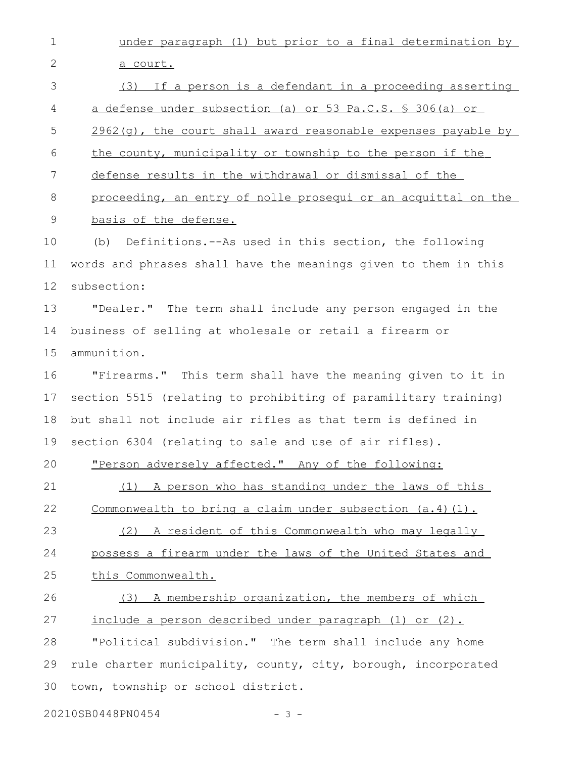under paragraph (1) but prior to a final determination by a court. (3) If a person is a defendant in a proceeding asserting a defense under subsection (a) or 53 Pa.C.S. § 306(a) or  $2962(q)$ , the court shall award reasonable expenses payable by the county, municipality or township to the person if the defense results in the withdrawal or dismissal of the proceeding, an entry of nolle prosequi or an acquittal on the basis of the defense. (b) Definitions.--As used in this section, the following words and phrases shall have the meanings given to them in this subsection: "Dealer." The term shall include any person engaged in the business of selling at wholesale or retail a firearm or ammunition. "Firearms." This term shall have the meaning given to it in section 5515 (relating to prohibiting of paramilitary training) but shall not include air rifles as that term is defined in section 6304 (relating to sale and use of air rifles). "Person adversely affected." Any of the following: (1) A person who has standing under the laws of this Commonwealth to bring a claim under subsection (a.4)(1). (2) A resident of this Commonwealth who may legally possess a firearm under the laws of the United States and this Commonwealth. (3) A membership organization, the members of which include a person described under paragraph (1) or (2). "Political subdivision." The term shall include any home rule charter municipality, county, city, borough, incorporated town, township or school district. 1 2 3 4 5 6 7 8 9 10 11 12 13 14 15 16 17 18 19 20 21 22 23 24 25 26 27 28 29 30

20210SB0448PN0454 - 3 -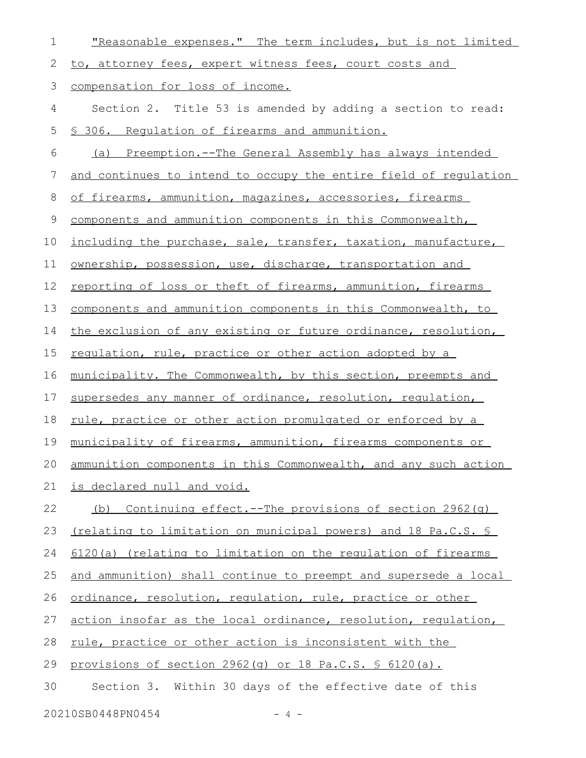| 1  | "Reasonable expenses." The term includes, but is not limited        |
|----|---------------------------------------------------------------------|
| 2  | to, attorney fees, expert witness fees, court costs and             |
| 3  | compensation for loss of income.                                    |
| 4  | Section 2. Title 53 is amended by adding a section to read:         |
| 5  | § 306. Requlation of firearms and ammunition.                       |
| 6  | <u>Preemption.--The General Assembly has always intended</u><br>(a) |
| 7  | and continues to intend to occupy the entire field of requlation    |
| 8  | of firearms, ammunition, magazines, accessories, firearms           |
| 9  | components and ammunition components in this Commonwealth,          |
| 10 | including the purchase, sale, transfer, taxation, manufacture,      |
| 11 | ownership, possession, use, discharge, transportation and           |
| 12 | reporting of loss or theft of firearms, ammunition, firearms        |
| 13 | components and ammunition components in this Commonwealth, to       |
| 14 | the exclusion of any existing or future ordinance, resolution,      |
| 15 | regulation, rule, practice or other action adopted by a             |
| 16 | municipality. The Commonwealth, by this section, preempts and       |
| 17 | supersedes any manner of ordinance, resolution, requlation,         |
| 18 | <u>rule, practice or other action promulgated or enforced by a</u>  |
| 19 | municipality of firearms, ammunition, firearms components or        |
| 20 | ammunition components in this Commonwealth, and any such action     |
| 21 | is declared null and void.                                          |
| 22 | <u>Continuing effect.--The provisions of section 2962(q)</u><br>(b) |
| 23 | (relating to limitation on municipal powers) and 18 Pa.C.S. §       |
| 24 | 6120(a) (relating to limitation on the regulation of firearms       |
| 25 | and ammunition) shall continue to preempt and supersede a local     |
| 26 | ordinance, resolution, requlation, rule, practice or other          |
| 27 | action insofar as the local ordinance, resolution, requlation,      |
| 28 | rule, practice or other action is inconsistent with the             |
| 29 | provisions of section 2962(g) or 18 Pa.C.S. \$ 6120(a).             |
| 30 | Section 3. Within 30 days of the effective date of this             |
|    | 20210SB0448PN0454<br>$-4 -$                                         |